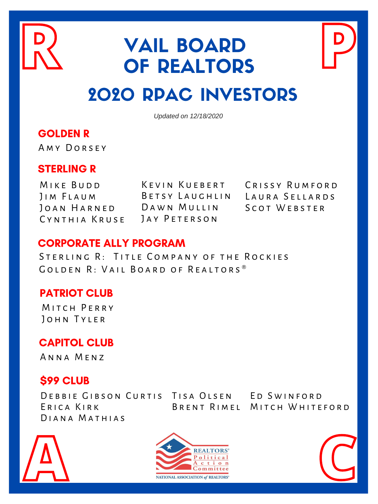#### GOLDEN R

A M Y DORSEY

#### STERLING R

MIKE BUDD J I M F L A U M JOAN HARNED DAWN MULLIN C Y N T H I A K R U S E

KEVIN KUEBERT CRISSY RUMFORD BETSY LAUGHLIN LAURA SELLARDS JAY PETERSON

SCOT WEBSTER

#### CORPORATE ALLY PROGRAM

STERLING R: TITLE COMPANY OF THE ROCKIES

GOLDEN R: VAIL BOARD OF REALTORS<sup>®</sup>

### PATRIOT CLUB

MITCH PERRY JOHN TYLER

### \$99 CLUB

DEBBIE GIBSON CURTIS TISA OLSEN ED SWINFORD ERICA KIRK DIANA MATHIAS BRENT RIMEL MITCH WHITEFORD



# VAIL BOARD OF REALTORS 2020 RPAC INVESTORS **R VAIL BOARD**<br>**OF REALTORS**

*Updated on 12/18/2020*





### CAPITOL CLUB

A N N A M E N Z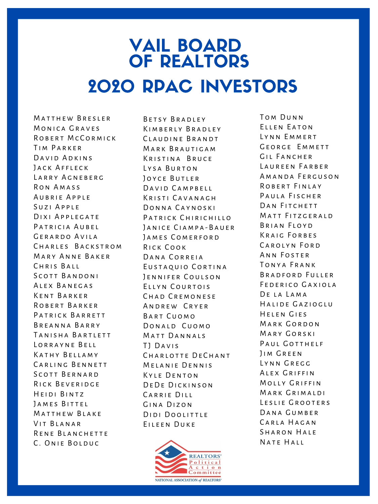## VAIL BOARD OF REALTORS 2020 RPAC INVESTORS

MATTHEW BRESLER MONICA GRAVES ROBERT MCCORMICK TIM PARKER DAVID ADKINS JACK AFFLECK LARRY AGNEBERG RON AMASS AUBRIE APPLE SUZI APPLE DIXI APPLEGATE PATRICIA AUBEL GERARDO AVILA CHARLES BACKSTROM MARY ANNE BAKER CHRIS BALL SCOTT BANDONI ALEX BANEGAS KENT BARKER ROBERT BARKER PATRICK BARRETT BREANNA BARRY TANISHA BARTLETT LORRAYNE BELL KATHY BELLAMY CARLING BENNETT SCOTT BERNARD RICK BEVERIDGE HEIDI BINTZ JAMES BITTEL MATTHEW BLAKE VIT BLANAR RENE BLANCHETTE C. ONIE BOLDUC

BETSY BRADLEY KIMBERLY BRADLEY CLAUDINE BRANDT MARK BRAUTICAM KRISTINA BRUCE LYSA BURTON JOYCE BUTLER DAVID CAMPBELL KRISTI CAVANAGH DONNA CAYNOSKI PATRICK CHIRICHILLO JANICE CIAMPA-BAUER JAMES COMERFORD RICK COOK DANA CORREIA EUSTAQUIO CORTINA JENNIFER COULSON ELLYN COURTOIS CHAD CREMONESE A N D R E W C R Y E R BART CUOMO DONALD CUOMO MATT DANNALS TJ DAVIS CHARLOTTE DECHANT MELANIE DENNIS KYLE DENTON DEDE DICKINSON CARRIE DILL GINA DIZON DIDI DOOLITTLE EILEEN DUKE

TOM DUNN ELLEN EATON LYNN EMMERT GEORGE EMMETT GIL FANCHER LAUREEN FARBER A M A N D A FER GUSON ROBERT FINLAY PAULA FISCHER DAN FITCHETT MATT FITZGERALD BRIAN FLOYD KRAIG FORBES CAROLYN FORD ANN FOSTER T o n y a F r a n k BRADFORD FULLER FEDERICO GAXIOLA DE LA LAMA HALIDE GAZIOGLU HELEN GIES MARK GORDON MARY GORSKI PAUL GOTTHELF JIM GREEN LYNN GREGG ALEX GRIFFIN MOLLY GRIFFIN MARK GRIMALDI LESLIE GROOTERS DANA GUMBER CARLA HAGAN SHARON HALE NATE HALL

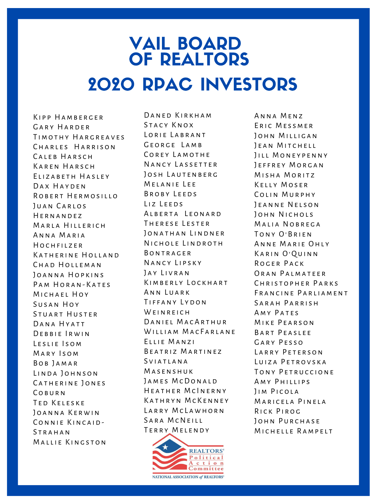## VAIL BOARD OF REALTORS 2020 RPAC INVESTORS

KIPP HAMBERGER GARY HARDER TIMOTHY HARGREAVES CHARLES HARRISON CALEB HARSCH KAREN HARSCH ELIZABETH HASLEY DAX HAYDEN ROBERT HERMOSILLO JUAN CARLOS HERNANDEZ MARLA HILLERICH ANNA MARIA HOCHFILZER KATHERINE HOLLAND CHAD HOLLEMAN JOANNA HOPKINS PAM HORAN-KATES MICHAEL HOY SUSAN HOY STUART HUSTER DANA HYATT DEBBIE IRWIN LESLIE ISOM MARY ISOM BOB JAMAR LINDA JOHNSON CATHERINE JONES **COBURN** TED KELESKE JOANNA KERWIN CONNIE KINCAID-**STRAHAN** MALLIE KINGSTON

DANED KIRKHAM STACY KNOX LORIE LABRANT GEORGE LAMB COREY LAMOTHE NANCY LASSETTER JOSH LAUTENBERG MELANIE LEE BROBY LEEDS LIZ LEEDS ALBERTA LEONARD THERESE LESTER JONATHAN LINDNER NICHOLE LINDROTH **BONTRAGER** NANCY LIPSKY JAY LIVRAN K I M B E R L Y LOCK H A R T ANN LUARK TIFFANY LYDON WEINREICH DANIEL MACARTHUR WILLIAM MACFARLANE ELLIE MANZI BEATRIZ MARTINEZ S V I A T L A N A M a s e n s h u k JAMES MCDONALD HEATHER MCINERNY KATHRYN MCKENNEY LARRY MCLAWHORN SARA MCNEILL TERRY MELENDY

ANNA MENZ ERIC MESSMER JOHN MILLIGAN JEAN MITCHELL JILL MONEYPENNY JEFFREY MORGAN MISHA MORITZ KELLY MOSER COLIN MURPHY JEANNE NELSON JOHN NICHOLS MALIA NOBREGA TONY O'BRIEN ANNE MARIE OHLY KARIN O'QUINN ROGER PACK ORAN PALMATEER CHRISTOPHER PARKS FRANCINE PARLIAMENT SARAH PARRISH AMY PATES MIKE PEARSON BART PEASLEE GARY PESSO LARRY PETERSON LUIZA PETROVSKA TONY PETRUCCIONE AMY PHILLIPS JIM PICOLA MARICELA PINELA RICK PIROG JOHN PURCHASE MICHELLE RAMPELT